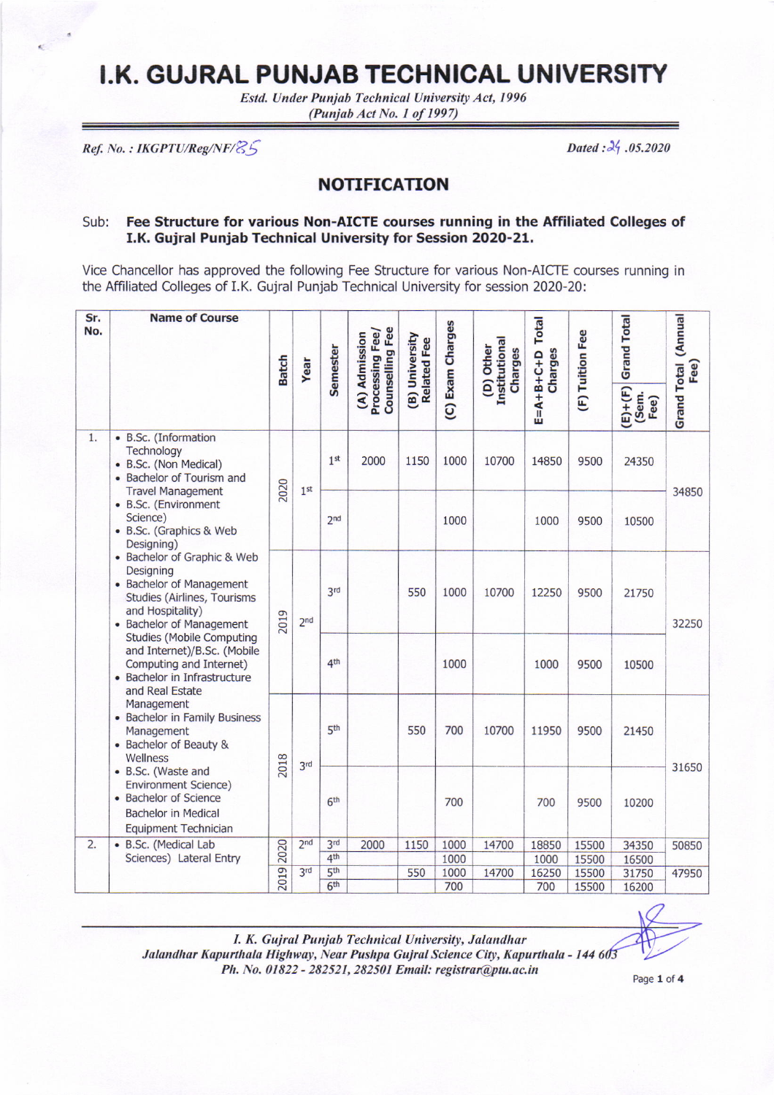## I.K. GUJRAL PUNJAB TECHNICAL UNIVERSITY

Estd. Under Punjab Technical University Act, 1996 (Punjab Act No. 1 of 1997)

Ref. No.: IKGPTU/Reg/NF/25

Dated:  $2\frac{1}{2}$ .05.2020

## **NOTIFICATION**

## Sub: Fee Structure for various Non-AICTE courses running in the Affiliated Colleges of I.K. Gujral Punjab Technical University for Session 2020-21.

Vice Chancellor has approved the following Fee Structure for various Non-AICTE courses running in the Affiliated Colleges of I.K. Gujral Punjab Technical University for session 2020-20:

| Sr.<br>No. | <b>Name of Course</b>                                                                                                                                                                                                                                                                                                                                                                                                                                                                                                                                                                                                    | <b>Batch</b> | Year            | Semester                           | Counselling Fee<br>Processing Fee/<br>(A) Admission | (B) University<br><b>Related Fee</b> | (C) Exam Charges | <b>Institutional</b><br>(D) Other<br>Charges | <b>Total</b><br>Charges<br>$E = A + B + C + D$ | (F) Tuition Fee | <b>Grand Total</b><br>$(E)+ (F)$<br>(Sem.<br>Fee) | <b>Grand Total (Annual</b><br>Fee) |
|------------|--------------------------------------------------------------------------------------------------------------------------------------------------------------------------------------------------------------------------------------------------------------------------------------------------------------------------------------------------------------------------------------------------------------------------------------------------------------------------------------------------------------------------------------------------------------------------------------------------------------------------|--------------|-----------------|------------------------------------|-----------------------------------------------------|--------------------------------------|------------------|----------------------------------------------|------------------------------------------------|-----------------|---------------------------------------------------|------------------------------------|
| 1.         | • B.Sc. (Information<br>Technology<br>• B.Sc. (Non Medical)<br>• Bachelor of Tourism and<br><b>Travel Management</b>                                                                                                                                                                                                                                                                                                                                                                                                                                                                                                     | 2020         | 1 <sup>st</sup> | 1 <sup>st</sup>                    | 2000                                                | 1150                                 | 1000             | 10700                                        | 14850                                          | 9500            | 24350                                             | 34850                              |
|            | • B.Sc. (Environment<br>Science)<br>• B.Sc. (Graphics & Web<br>Designing)<br>• Bachelor of Graphic & Web<br>Designing<br>• Bachelor of Management<br>Studies (Airlines, Tourisms<br>and Hospitality)<br>• Bachelor of Management<br><b>Studies (Mobile Computing</b><br>and Internet)/B.Sc. (Mobile<br>Computing and Internet)<br>• Bachelor in Infrastructure<br>and Real Estate<br>Management<br>• Bachelor in Family Business<br>Management<br>• Bachelor of Beauty &<br>Wellness<br>• B.Sc. (Waste and<br><b>Environment Science)</b><br>• Bachelor of Science<br><b>Bachelor in Medical</b><br>Equipment Technician |              |                 | 2 <sub>nd</sub>                    |                                                     |                                      | 1000             |                                              | 1000                                           | 9500            | 10500                                             |                                    |
|            |                                                                                                                                                                                                                                                                                                                                                                                                                                                                                                                                                                                                                          | 2019         | 2 <sub>nd</sub> | 3 <sup>rd</sup>                    |                                                     | 550                                  | 1000             | 10700                                        | 12250                                          | 9500            | 21750                                             | 32250                              |
|            |                                                                                                                                                                                                                                                                                                                                                                                                                                                                                                                                                                                                                          |              |                 | 4 <sup>th</sup>                    |                                                     |                                      | 1000             |                                              | 1000                                           | 9500            | 10500                                             |                                    |
|            |                                                                                                                                                                                                                                                                                                                                                                                                                                                                                                                                                                                                                          | 2018         | 3 <sup>rd</sup> | 5 <sup>th</sup>                    |                                                     | 550                                  | 700              | 10700                                        | 11950                                          | 9500            | 21450                                             | 31650                              |
|            |                                                                                                                                                                                                                                                                                                                                                                                                                                                                                                                                                                                                                          |              |                 | 6 <sup>th</sup>                    |                                                     |                                      | 700              |                                              | 700                                            | 9500            | 10200                                             |                                    |
| 2.         | • B.Sc. (Medical Lab<br>Sciences) Lateral Entry                                                                                                                                                                                                                                                                                                                                                                                                                                                                                                                                                                          | 2019 2020    | 2 <sub>nd</sub> | 3 <sub>rd</sub><br>4 <sup>th</sup> | 2000                                                | 1150                                 | 1000<br>1000     | 14700                                        | 18850<br>1000                                  | 15500<br>15500  | 34350<br>16500                                    | 50850                              |
|            |                                                                                                                                                                                                                                                                                                                                                                                                                                                                                                                                                                                                                          |              | 3 <sup>rd</sup> | 5 <sup>th</sup>                    |                                                     | 550                                  | 1000             | 14700                                        | 16250                                          | 15500           | 31750                                             | 47950                              |
|            |                                                                                                                                                                                                                                                                                                                                                                                                                                                                                                                                                                                                                          |              |                 | 6 <sup>th</sup>                    |                                                     |                                      | 700              |                                              | 700                                            | 15500           | 16200                                             |                                    |

Page 1 of 4